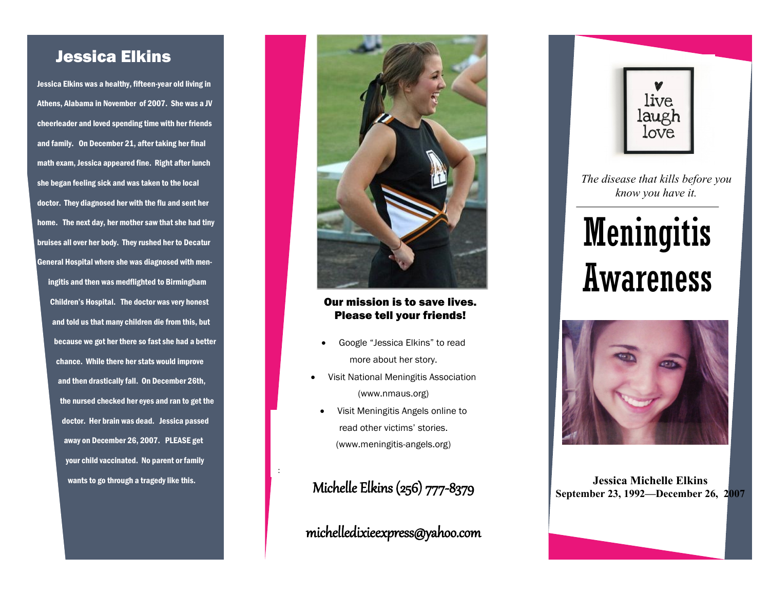## Jessica Elkins

Jessica Elkins was a healthy, fifteen-year old living in Athens, Alabama in November of 2007. She was a JV cheerleader and loved spending time with her friends and family. On December 21, after taking her final math exam, Jessica appeared fine. Right after lunch she began feeling sick and was taken to the local doctor. They diagnosed her with the flu and sent her home. The next day, her mother saw that she had tiny bruises all over her body. They rushed her to Decatur General Hospital where she was diagnosed with meningitis and then was medflighted to Birmingham Children's Hospital. The doctor was very honest and told us that many children die from this, but because we got her there so fast she had a better chance. While there her stats would improve and then drastically fall. On December 26th, the nursed checked her eyes and ran to get the doctor. Her brain was dead. Jessica passed away on December 26, 2007. PLEASE get your child vaccinated. No parent or family wants to go through a tragedy like this.



#### Our mission is to save lives. Please tell your friends!

- Google "Jessica Elkins" to read more about her story.
- Visit National Meningitis Association (www.nmaus.org)
	- Visit Meningitis Angels online to read other victims' stories. (www.meningitis-angels.org)

Michelle Elkins (256) 777-8379

:

michelledixieexpress@yahoo.com



*The disease that kills before you know you have it.*

# **Meningitis** Awareness



**Jessica Michelle Elkins September 23, 1992—December 26, 2007**